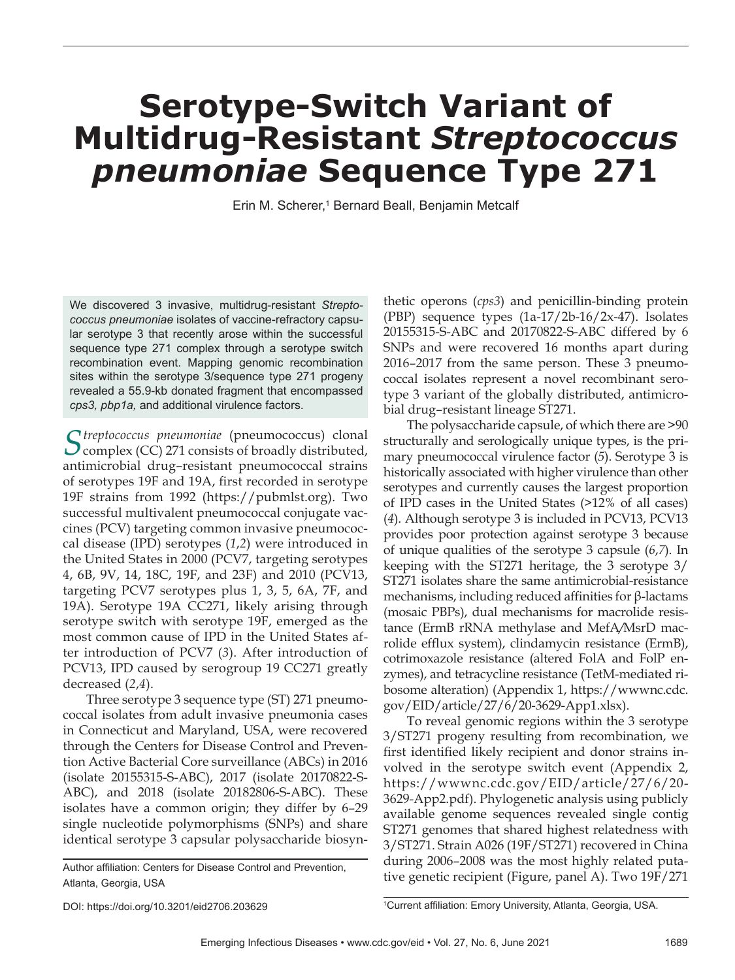# **Serotype-Switch Variant of Multidrug-Resistant** *Streptococcus pneumoniae* **Sequence Type 271**

Erin M. Scherer,<sup>1</sup> Bernard Beall, Benjamin Metcalf

We discovered 3 invasive, multidrug-resistant Strepto*coccus pneumoniae* isolates of vaccine-refractory capsular serotype 3 that recently arose within the successful sequence type 271 complex through a serotype switch recombination event. Mapping genomic recombination sites within the serotype 3/sequence type 271 progeny revealed a 55.9-kb donated fragment that encompassed cps3, pbp1a, and additional virulence factors.

Streptococcus pneumoniae (pneumococcus) clonal Complex (CC) 271 consists of broadly distributed, antimicrobial drug–resistant pneumococcal strains of serotypes 19F and 19A, first recorded in serotype 19F strains from 1992 (https://pubmlst.org). Two successful multivalent pneumococcal conjugate vaccines (PCV) targeting common invasive pneumococcal disease (IPD) serotypes (*1*,*2*) were introduced in the United States in 2000 (PCV7, targeting serotypes 4, 6B, 9V, 14, 18C, 19F, and 23F) and 2010 (PCV13, targeting PCV7 serotypes plus 1, 3, 5, 6A, 7F, and 19A). Serotype 19A CC271, likely arising through serotype switch with serotype 19F, emerged as the most common cause of IPD in the United States after introduction of PCV7 (*3*). After introduction of PCV13, IPD caused by serogroup 19 CC271 greatly decreased (*2*,*4*).

Three serotype 3 sequence type (ST) 271 pneumococcal isolates from adult invasive pneumonia cases in Connecticut and Maryland, USA, were recovered through the Centers for Disease Control and Prevention Active Bacterial Core surveillance (ABCs) in 2016 (isolate 20155315-S-ABC), 2017 (isolate 20170822-S-ABC), and 2018 (isolate 20182806-S-ABC). These isolates have a common origin; they differ by 6–29 single nucleotide polymorphisms (SNPs) and share identical serotype 3 capsular polysaccharide biosyn-

Author affiliation: Centers for Disease Control and Prevention, Atlanta, Georgia, USA

thetic operons (*cps3*) and penicillin-binding protein (PBP) sequence types (1a-17/2b-16/2x-47). Isolates 20155315-S-ABC and 20170822-S-ABC differed by 6 SNPs and were recovered 16 months apart during 2016–2017 from the same person. These 3 pneumococcal isolates represent a novel recombinant serotype 3 variant of the globally distributed, antimicrobial drug–resistant lineage ST271.

The polysaccharide capsule, of which there are >90 structurally and serologically unique types, is the primary pneumococcal virulence factor (*5*). Serotype 3 is historically associated with higher virulence than other serotypes and currently causes the largest proportion of IPD cases in the United States (>12% of all cases) (*4*). Although serotype 3 is included in PCV13, PCV13 provides poor protection against serotype 3 because of unique qualities of the serotype 3 capsule (*6*,*7*). In keeping with the ST271 heritage, the 3 serotype 3/ ST271 isolates share the same antimicrobial-resistance mechanisms, including reduced affinities for  $\beta$ -lactams (mosaic PBPs), dual mechanisms for macrolide resistance (ErmB rRNA methylase and MefA*/*MsrD macrolide efflux system), clindamycin resistance (ErmB), cotrimoxazole resistance (altered FolA and FolP enzymes), and tetracycline resistance (TetM*-*mediated ribosome alteration) (Appendix 1, https://wwwnc.cdc. gov/EID/article/27/6/20-3629-App1.xlsx).

To reveal genomic regions within the 3 serotype 3/ST271 progeny resulting from recombination, we first identified likely recipient and donor strains involved in the serotype switch event (Appendix 2, https://wwwnc.cdc.gov/EID/article/27/6/20- 3629-App2.pdf). Phylogenetic analysis using publicly available genome sequences revealed single contig ST271 genomes that shared highest relatedness with 3/ST271. Strain A026 (19F/ST271) recovered in China during 2006–2008 was the most highly related putative genetic recipient (Figure, panel A). Two 19F/271

DOI: https://doi.org/10.3201/eid2706.203629 <sup>1</sup>

<sup>&</sup>lt;sup>1</sup>Current affiliation: Emory University, Atlanta, Georgia, USA.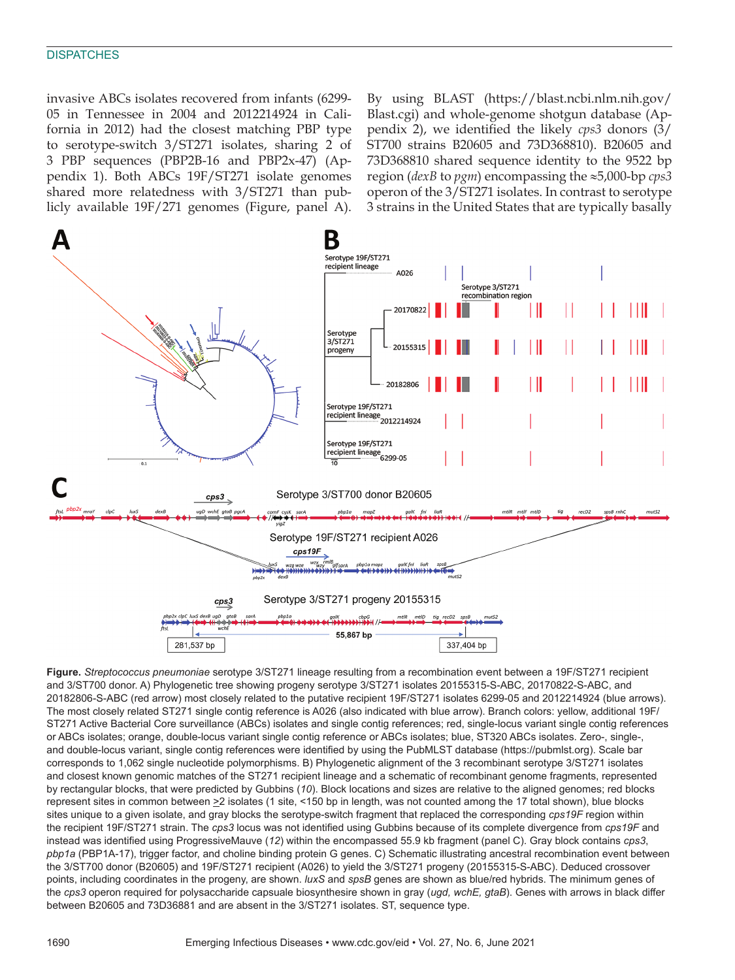### **DISPATCHES**

invasive ABCs isolates recovered from infants (6299- 05 in Tennessee in 2004 and 2012214924 in California in 2012) had the closest matching PBP type to serotype-switch 3/ST271 isolates, sharing 2 of 3 PBP sequences (PBP2B-16 and PBP2x-47) (Appendix 1). Both ABCs 19F/ST271 isolate genomes shared more relatedness with 3/ST271 than publicly available 19F/271 genomes (Figure, panel A).

By using BLAST (https://blast.ncbi.nlm.nih.gov/ Blast.cgi) and whole-genome shotgun database (Appendix 2), we identified the likely *cps3* donors (3/ ST700 strains B20605 and 73D368810). B20605 and 73D368810 shared sequence identity to the 9522 bp region (*dexB* to *pgm*) encompassing the ≈5,000-bp *cps3* operon of the 3/ST271 isolates. In contrast to serotype 3 strains in the United States that are typically basally



**Figure.** *Streptococcus pneumoniae* serotype 3/ST271 lineage resulting from a recombination event between a 19F/ST271 recipient and 3/ST700 donor. A) Phylogenetic tree showing progeny serotype 3/ST271 isolates 20155315-S-ABC, 20170822-S-ABC, and 20182806-S-ABC (red arrow) most closely related to the putative recipient 19F/ST271 isolates 6299-05 and 2012214924 (blue arrows). The most closely related ST271 single contig reference is A026 (also indicated with blue arrow). Branch colors: yellow, additional 19F/ ST271 Active Bacterial Core surveillance (ABCs) isolates and single contig references; red, single-locus variant single contig references or ABCs isolates; orange, double-locus variant single contig reference or ABCs isolates; blue, ST320 ABCs isolates. Zero-, single-, and double-locus variant, single contig references were identified by using the PubMLST database (https://pubmlst.org). Scale bar corresponds to 1,062 single nucleotide polymorphisms. B) Phylogenetic alignment of the 3 recombinant serotype 3/ST271 isolates and closest known genomic matches of the ST271 recipient lineage and a schematic of recombinant genome fragments, represented by rectangular blocks, that were predicted by Gubbins (*10*). Block locations and sizes are relative to the aligned genomes; red blocks represent sites in common between  $\geq$ 2 isolates (1 site, <150 bp in length, was not counted among the 17 total shown), blue blocks sites unique to a given isolate, and gray blocks the serotype-switch fragment that replaced the corresponding *cps19F* region within the recipient 19F/ST271 strain. The *cps3* locus was not identified using Gubbins because of its complete divergence from *cps19F* and instead was identified using ProgressiveMauve (*12*) within the encompassed 55.9 kb fragment (panel C). Gray block contains *cps3*, *pbp1a* (PBP1A-17), trigger factor, and choline binding protein G genes. C) Schematic illustrating ancestral recombination event between the 3/ST700 donor (B20605) and 19F/ST271 recipient (A026) to yield the 3/ST271 progeny (20155315-S-ABC). Deduced crossover points, including coordinates in the progeny, are shown. *luxS* and *spsB* genes are shown as blue/red hybrids. The minimum genes of the *cps3* operon required for polysaccharide capsuale biosynthesire shown in gray (*ugd, wchE, gtaB*). Genes with arrows in black differ between B20605 and 73D36881 and are absent in the 3/ST271 isolates. ST, sequence type.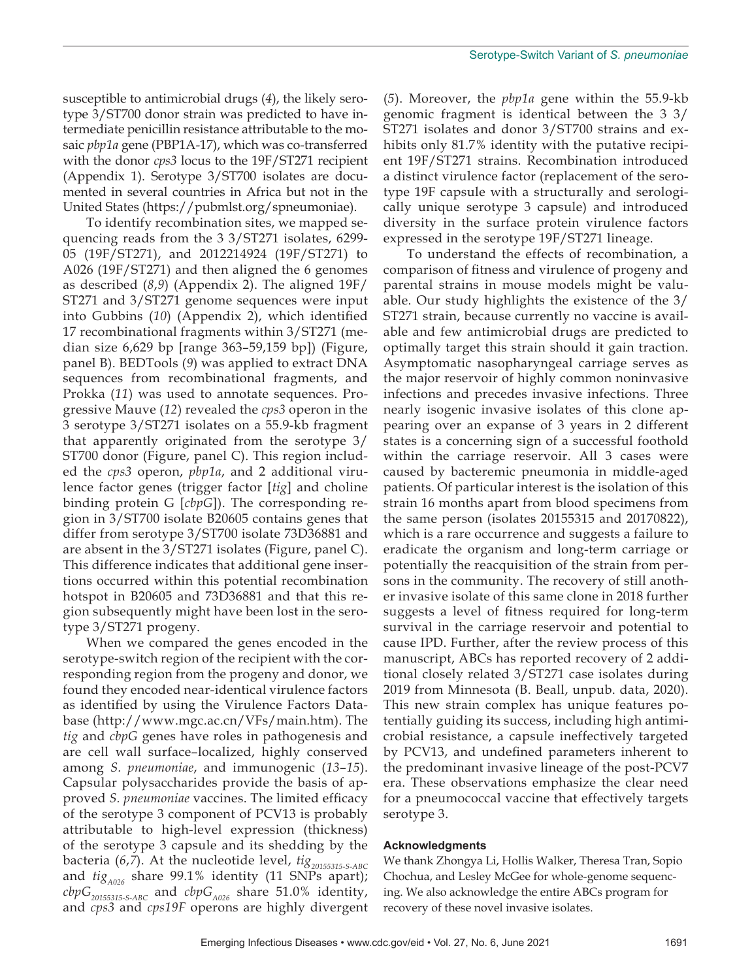susceptible to antimicrobial drugs (*4*), the likely serotype 3/ST700 donor strain was predicted to have intermediate penicillin resistance attributable to the mosaic *pbp1a* gene (PBP1A-17), which was co-transferred with the donor *cps3* locus to the 19F/ST271 recipient (Appendix 1). Serotype 3/ST700 isolates are documented in several countries in Africa but not in the United States (https://pubmlst.org/spneumoniae).

To identify recombination sites, we mapped sequencing reads from the 3 3/ST271 isolates, 6299- 05 (19F/ST271), and 2012214924 (19F/ST271) to A026 (19F/ST271) and then aligned the 6 genomes as described (*8*,*9*) (Appendix 2). The aligned 19F/ ST271 and 3/ST271 genome sequences were input into Gubbins (*10*) (Appendix 2), which identified 17 recombinational fragments within 3/ST271 (median size 6,629 bp [range 363–59,159 bp]) (Figure, panel B). BEDTools (*9*) was applied to extract DNA sequences from recombinational fragments, and Prokka (*11*) was used to annotate sequences. Progressive Mauve (*12*) revealed the *cps3* operon in the 3 serotype 3/ST271 isolates on a 55.9-kb fragment that apparently originated from the serotype 3/ ST700 donor (Figure, panel C). This region included the *cps3* operon, *pbp1a*, and 2 additional virulence factor genes (trigger factor [*tig*] and choline binding protein G [*cbpG*]). The corresponding region in 3/ST700 isolate B20605 contains genes that differ from serotype 3/ST700 isolate 73D36881 and are absent in the 3/ST271 isolates (Figure, panel C). This difference indicates that additional gene insertions occurred within this potential recombination hotspot in B20605 and 73D36881 and that this region subsequently might have been lost in the serotype 3/ST271 progeny.

When we compared the genes encoded in the serotype-switch region of the recipient with the corresponding region from the progeny and donor, we found they encoded near-identical virulence factors as identified by using the Virulence Factors Database (http://www.mgc.ac.cn/VFs/main.htm). The *tig* and *cbpG* genes have roles in pathogenesis and are cell wall surface–localized, highly conserved among *S. pneumoniae*, and immunogenic (*13*–*15*). Capsular polysaccharides provide the basis of approved *S. pneumoniae* vaccines. The limited efficacy of the serotype 3 component of PCV13 is probably attributable to high-level expression (thickness) of the serotype 3 capsule and its shedding by the bacteria (6,7). At the nucleotide level, *tig<sub>20155315-S-ABC*</sub> and *tig<sub>A026</sub>* share 99.1% identity (11 SNPs apart);  $cbpG_{20155315-SABC}$  and  $cbpG_{A026}$  share 51.0% identity, and *cps3* and *cps19F* operons are highly divergent

(*5*). Moreover, the *pbp1a* gene within the 55.9-kb genomic fragment is identical between the 3 3/ ST271 isolates and donor 3/ST700 strains and exhibits only 81.7% identity with the putative recipient 19F/ST271 strains. Recombination introduced a distinct virulence factor (replacement of the serotype 19F capsule with a structurally and serologically unique serotype 3 capsule) and introduced diversity in the surface protein virulence factors expressed in the serotype 19F/ST271 lineage.

To understand the effects of recombination, a comparison of fitness and virulence of progeny and parental strains in mouse models might be valuable. Our study highlights the existence of the 3/ ST271 strain, because currently no vaccine is available and few antimicrobial drugs are predicted to optimally target this strain should it gain traction. Asymptomatic nasopharyngeal carriage serves as the major reservoir of highly common noninvasive infections and precedes invasive infections. Three nearly isogenic invasive isolates of this clone appearing over an expanse of 3 years in 2 different states is a concerning sign of a successful foothold within the carriage reservoir. All 3 cases were caused by bacteremic pneumonia in middle-aged patients. Of particular interest is the isolation of this strain 16 months apart from blood specimens from the same person (isolates 20155315 and 20170822), which is a rare occurrence and suggests a failure to eradicate the organism and long-term carriage or potentially the reacquisition of the strain from persons in the community. The recovery of still another invasive isolate of this same clone in 2018 further suggests a level of fitness required for long-term survival in the carriage reservoir and potential to cause IPD. Further, after the review process of this manuscript, ABCs has reported recovery of 2 additional closely related 3/ST271 case isolates during 2019 from Minnesota (B. Beall, unpub. data, 2020). This new strain complex has unique features potentially guiding its success, including high antimicrobial resistance, a capsule ineffectively targeted by PCV13, and undefined parameters inherent to the predominant invasive lineage of the post-PCV7 era. These observations emphasize the clear need for a pneumococcal vaccine that effectively targets serotype 3.

#### **Acknowledgments**

We thank Zhongya Li, Hollis Walker, Theresa Tran, Sopio Chochua, and Lesley McGee for whole-genome sequencing. We also acknowledge the entire ABCs program for recovery of these novel invasive isolates.